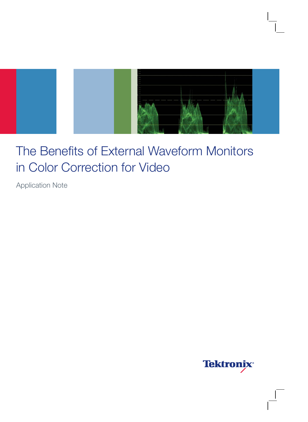

## The Benefits of External Waveform Monitors in Color Correction for Video

Application Note

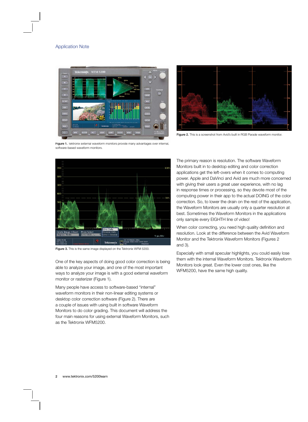

Figure 2. This is a screenshot from Avid's built in RGB Parade waveform monitor.

Figure 1. Tektronix external waveform monitors provide many advantages over internal, software-based waveform monitors.



Figure 3. This is the same image displayed on the Tektronix WFM 5200.

One of the key aspects of doing good color correction is being able to analyze your image, and one of the most important ways to analyze your image is with a good external waveform monitor or rasterizer (Figure 1).

Many people have access to software-based "internal" waveform monitors in their non-linear editing systems or desktop color correction software (Figure 2). There are a couple of issues with using built in software Waveform Monitors to do color grading. This document will address the four main reasons for using external Waveform Monitors, such as the Tektronix WFM5200.

The primary reason is resolution. The software Waveform Monitors built in to desktop editing and color correction applications get the left-overs when it comes to computing power. Apple and DaVinci and Avid are much more concerned with giving their users a great user experience, with no lag in response times or processing, so they devote most of the computing power in their app to the actual DOING of the color correction. So, to lower the drain on the rest of the application, the Waveform Monitors are usually only a quarter resolution at best. Sometimes the Waveform Monitors in the applications only sample every EIGHTH line of video!

When color correcting, you need high quality definition and resolution. Look at the difference between the Avid Waveform Monitor and the Tektronix Waveform Monitors (Figures 2 and 3).

Especially with small specular highlights, you could easily lose them with the internal Waveform Monitors. Tektronix Waveform Monitors look great. Even the lower cost ones, like the WFM5200, have the same high quality.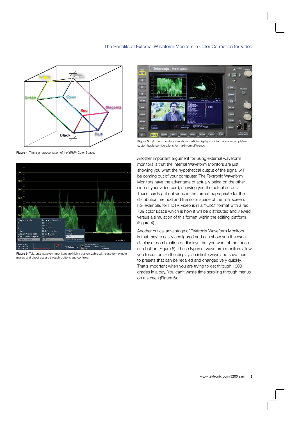

Figure 4. This is a representation of the YPbPr Color Space.



Figure 6. Tektronix waveform monitors are highly customizable with easy-to-navigate menus and direct access through buttons and controls.



Figure 5. Tektronix monitors can show multiple displays of information in completely customizable configurations for maximum efficiency.

Another important argument for using external waveform monitors is that the internal Waveform Monitors are just showing you what the hypothetical output of the signal will be coming out of your computer. The Tektronix Waveform Monitors have the advantage of actually being on the other side of your video card, showing you the actual output. These cards put out video in the format appropriate for the distribution method and the color space of the final screen. For example, for HDTV, video is in a YCbCr format with a rec. 709 color space which is how it will be distributed and viewed versus a simulation of this format within the editing platform (Figure 4).

Another critical advantage of Tektronix Waveform Monitors is that they're easily configured and can show you the exact display or combination of displays that you want at the touch of a button (Figure 5). These types of waveform monitors allow you to customize the displays in infinite ways and save them to presets that can be recalled and changed very quickly. That's important when you are trying to get through 1000 grades in a day. You can't waste time scrolling through menus on a screen (Figure 6).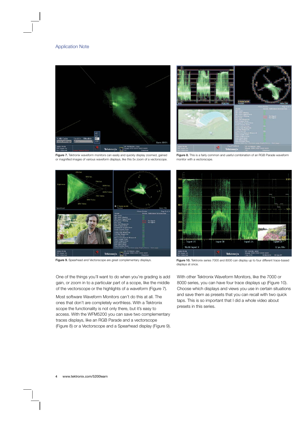



Figure 7. Tektronix waveform monitors can easily and quickly display zoomed, gained or magnified images of various waveform displays, like this 5x zoom of a vectorscope.

Figure 8. This is a fairly common and useful combination of an RGB Parade waveform monitor with a vectorscope.



One of the things you'll want to do when you're grading is add gain, or zoom in to a particular part of a scope, like the middle of the vectorscope or the highlights of a waveform (Figure 7).

Most software Waveform Monitors can't do this at all. The ones that don't are completely worthless. With a Tektronix scope the functionality is not only there, but it's easy to access. With the WFM5200 you can save two complementary traces displays, like an RGB Parade and a vectorscope (Figure 8) or a Vectorscope and a Spearhead display (Figure 9).



Figure 9. Spearhead and Vectorscope are great complementary displays. Figure 10. Tektronix series 7000 and 8000 can display up to four different trace-based displays at once.

With other Tektronix Waveform Monitors, like the 7000 or 8000 series, you can have four trace displays up (Figure 10). Choose which displays and views you use in certain situations and save them as presets that you can recall with two quick taps. This is so important that I did a whole video about presets in this series.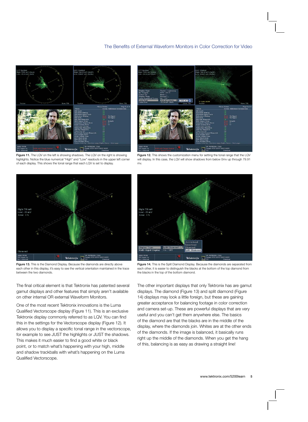

Figure 11. The LQV on the left is showing shadows. The LQV on the right is showing highlights. Notice the blue numerical "High" and "Low" readouts in the upper left corner of each display. This shows the tonal range that each LQV is set to display.



Figure 12. This shows the customization menu for setting the tonal range that the LQV will display. In this case, the LQV will show shadows from below 0mv up through 79.91 mv.



Figure 13. This is the Diamond Display. Because the diamonds are directly above each other in this display, it's easy to see the vertical orientation maintained in the trace between the two diamonds.

The final critical element is that Tektronix has patented several gamut displays and other features that simply aren't available on other internal OR external Waveform Monitors.

One of the most recent Tektronix innovations is the Luma Qualified Vectorscope display (Figure 11). This is an exclusive Tektronix display commonly referred to as LQV. You can find this in the settings for the Vectorscope display (Figure 12). It allows you to display a specific tonal range in the vectorscope, for example to see JUST the highlights or JUST the shadows. This makes it much easier to find a good white or black point, or to match what's happening with your high, middle and shadow trackballs with what's happening on the Luma Qualified Vectorscope.



Figure 14. This is the Split Diamond Display. Because the diamonds are separated from each other, it is easier to distinguish the blacks at the bottom of the top diamond from the blacks in the top of the bottom diamond.

The other important displays that only Tektronix has are gamut displays. The diamond (Figure 13) and split diamond (Figure 14) displays may look a little foreign, but these are gaining greater acceptance for balancing footage in color correction and camera set-up. These are powerful displays that are very useful and you can't get them anywhere else. The basics of the diamond are that the blacks are in the middle of the display, where the diamonds join. Whites are at the other ends of the diamonds. If the image is balanced, it basically runs right up the middle of the diamonds. When you get the hang of this, balancing is as easy as drawing a straight line!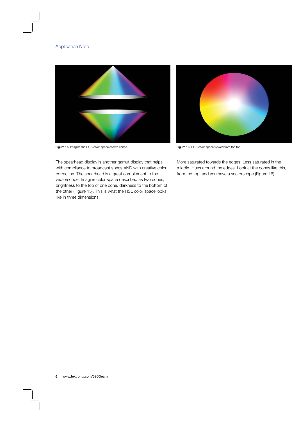



Figure 15. Imagine the RGB color space as two cones. Figure 16. RGB color space viewed from the top.

More saturated towards the edges. Less saturated in the middle. Hues around the edges. Look at the cones like this, from the top, and you have a vectorscope (Figure 16).

The spearhead display is another gamut display that helps with compliance to broadcast specs AND with creative color correction. The spearhead is a great complement to the vectorscope. Imagine color space described as two cones, brightness to the top of one cone, darkness to the bottom of the other (Figure 15). This is what the HSL color space looks like in three dimensions.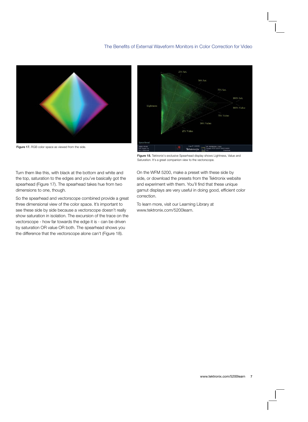

Figure 17. RGB color space as viewed from the side.



Figure 18. Tektronix's exclusive Spearhead display shows Lightness, Value and Saturation. It's a great companion view to the vectorscope.

Turn them like this, with black at the bottom and white and the top, saturation to the edges and you've basically got the spearhead (Figure 17). The spearhead takes hue from two dimensions to one, though.

So the spearhead and vectorscope combined provide a great three dimensional view of the color space. It's important to see these side by side because a vectorscope doesn't really show saturation in isolation. The excursion of the trace on the vectorscope - how far towards the edge it is - can be driven by saturation OR value OR both. The spearhead shows you the difference that the vectorscope alone can't (Figure 18).

On the WFM 5200, make a preset with these side by side, or download the presets from the Tektronix website and experiment with them. You'll find that these unique gamut displays are very useful in doing good, efficient color correction.

To learn more, visit our Learning Library at www.tektronix.com/5200learn.